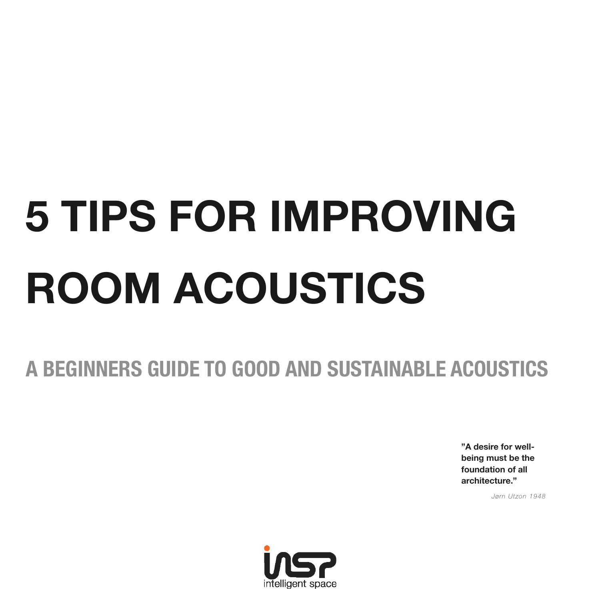# **5 TIPS FOR IMPROVING ROOM ACOUSTICS**

## **A BEGINNERS GUIDE TO GOOD AND SUSTAINABLE ACOUSTICS**

**"A desire for wellbeing must be the foundation of all architecture."**

*Jørn Utzon 1948*

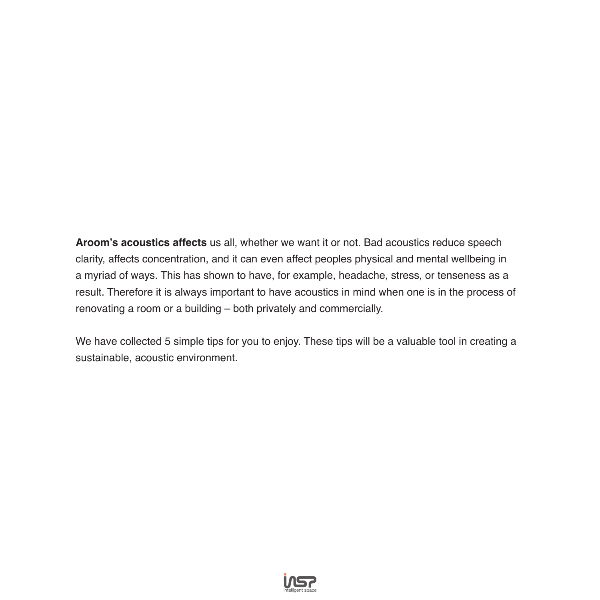**Aroom's acoustics affects** us all, whether we want it or not. Bad acoustics reduce speech clarity, affects concentration, and it can even affect peoples physical and mental wellbeing in a myriad of ways. This has shown to have, for example, headache, stress, or tenseness as a result. Therefore it is always important to have acoustics in mind when one is in the process of renovating a room or a building – both privately and commercially.

We have collected 5 simple tips for you to enjoy. These tips will be a valuable tool in creating a sustainable, acoustic environment.

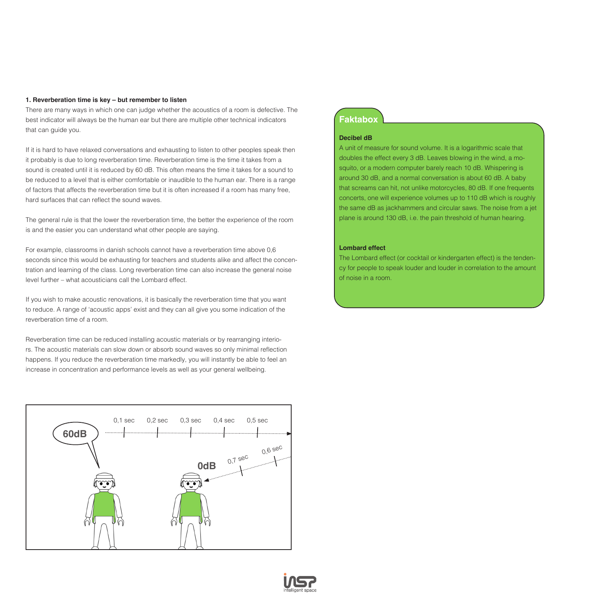#### **1. Reverberation time is key – but remember to listen**

There are many ways in which one can judge whether the acoustics of a room is defective. The best indicator will always be the human ear but there are multiple other technical indicators that can guide you.

If it is hard to have relaxed conversations and exhausting to listen to other peoples speak then it probably is due to long reverberation time. Reverberation time is the time it takes from a sound is created until it is reduced by 60 dB. This often means the time it takes for a sound to be reduced to a level that is either comfortable or inaudible to the human ear. There is a range of factors that affects the reverberation time but it is often increased if a room has many free, hard surfaces that can reflect the sound waves.

The general rule is that the lower the reverberation time, the better the experience of the room is and the easier you can understand what other people are saying.

For example, classrooms in danish schools cannot have a reverberation time above 0,6 seconds since this would be exhausting for teachers and students alike and affect the concentration and learning of the class. Long reverberation time can also increase the general noise level further – what acousticians call the Lombard effect.

If you wish to make acoustic renovations, it is basically the reverberation time that you want to reduce. A range of 'acoustic apps' exist and they can all give you some indication of the reverberation time of a room.

Reverberation time can be reduced installing acoustic materials or by rearranging interiors. The acoustic materials can slow down or absorb sound waves so only minimal reflection happens. If you reduce the reverberation time markedly, you will instantly be able to feel an increase in concentration and performance levels as well as your general wellbeing.



#### **Faktabox**

#### **Decibel dB**

A unit of measure for sound volume. It is a logarithmic scale that doubles the effect every 3 dB. Leaves blowing in the wind, a mosquito, or a modern computer barely reach 10 dB. Whispering is around 30 dB, and a normal conversation is about 60 dB. A baby that screams can hit, not unlike motorcycles, 80 dB. If one frequents concerts, one will experience volumes up to 110 dB which is roughly the same dB as jackhammers and circular saws. The noise from a jet plane is around 130 dB, i.e. the pain threshold of human hearing.

#### **Lombard effect**

The Lombard effect (or cocktail or kindergarten effect) is the tendency for people to speak louder and louder in correlation to the amount of noise in a room.

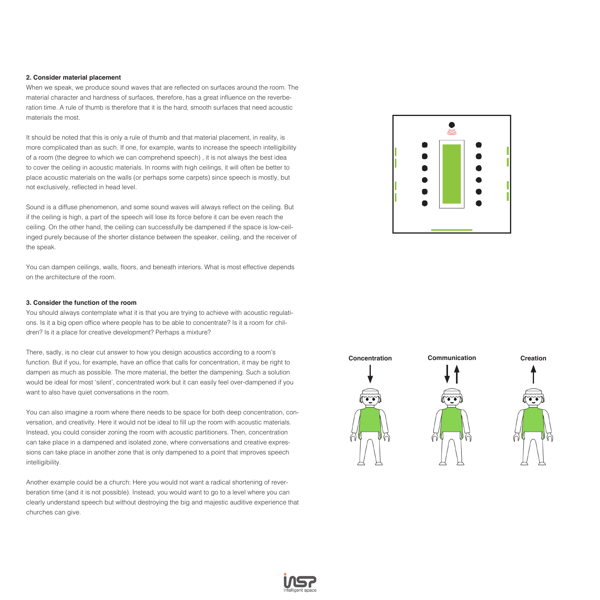#### **2. Consider material placement**

When we speak, we produce sound waves that are reflected on surfaces around the room. The material character and hardness of surfaces, therefore, has a great influence on the reverberation time. A rule of thumb is therefore that it is the hard, smooth surfaces that need acoustic materials the most.

It should be noted that this is only a rule of thumb and that material placement, in reality, is more complicated than as such. If one, for example, wants to increase the speech intelligibility of a room (the degree to which we can comprehend speech) , it is not always the best idea to cover the ceiling in acoustic materials. In rooms with high ceilings, it will often be better to place acoustic materials on the walls (or perhaps some carpets) since speech is mostly, but not exclusively, reflected in head level.

Sound is a diffuse phenomenon, and some sound waves will always reflect on the ceiling. But if the ceiling is high, a part of the speech will lose its force before it can be even reach the ceiling. On the other hand, the ceiling can successfully be dampened if the space is low-ceilinged purely because of the shorter distance between the speaker, ceiling, and the receiver of the speak.

You can dampen ceilings, walls, floors, and beneath interiors. What is most effective depends on the architecture of the room.

#### **3. Consider the function of the room**

You should always contemplate what it is that you are trying to achieve with acoustic regulations. Is it a big open office where people has to be able to concentrate? Is it a room for children? Is it a place for creative development? Perhaps a mixture?

There, sadly, is no clear cut answer to how you design acoustics according to a room's function. But if you, for example, have an office that calls for concentration, it may be right to dampen as much as possible. The more material, the better the dampening. Such a solution would be ideal for most 'silent', concentrated work but it can easily feel over-dampened if you want to also have quiet conversations in the room.

You can also imagine a room where there needs to be space for both deep concentration, conversation, and creativity. Here it would not be ideal to fill up the room with acoustic materials. Instead, you could consider zoning the room with acoustic partitioners. Then, concentration can take place in a dampened and isolated zone, where conversations and creative expressions can take place in another zone that is only dampened to a point that improves speech intelligibility.

Another example could be a church: Here you would not want a radical shortening of reverberation time (and it is not possible). Instead, you would want to go to a level where you can clearly understand speech but without destroying the big and majestic auditive experience that churches can give.





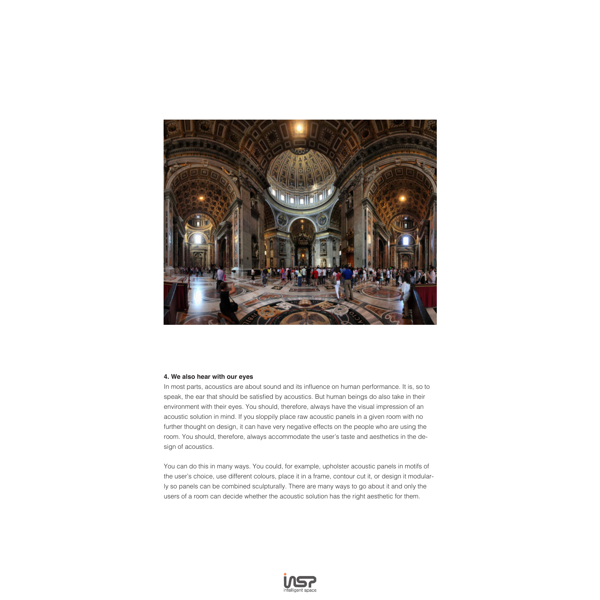

#### **4. We also hear with our eyes**

In most parts, acoustics are about sound and its influence on human performance. It is, so to speak, the ear that should be satisfied by acoustics. But human beings do also take in their environment with their eyes. You should, therefore, always have the visual impression of an acoustic solution in mind. If you sloppily place raw acoustic panels in a given room with no further thought on design, it can have very negative effects on the people who are using the room. You should, therefore, always accommodate the user's taste and aesthetics in the design of acoustics.

You can do this in many ways. You could, for example, upholster acoustic panels in motifs of the user's choice, use different colours, place it in a frame, contour cut it, or design it modularly so panels can be combined sculpturally. There are many ways to go about it and only the users of a room can decide whether the acoustic solution has the right aesthetic for them.

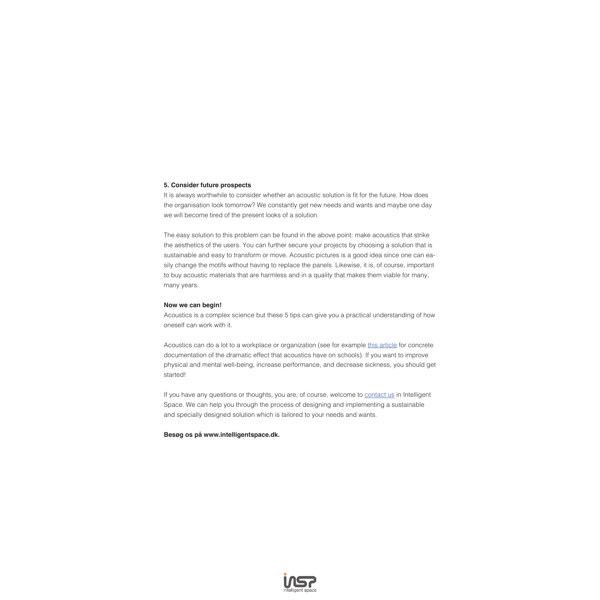#### **5. Consider future prospects**

It is always worthwhile to consider whether an acoustic solution is fit for the future. How does the organisation look tomorrow? We constantly get new needs and wants and maybe one day we will become tired of the present looks of a solution.

The easy solution to this problem can be found in the above point: make acoustics that strike the aesthetics of the users. You can further secure your projects by choosing a solution that is sustainable and easy to transform or move. Acoustic pictures is a good idea since one can easily change the motifs without having to replace the panels. Likewise, it is, of course, important to buy acoustic materials that are harmless and in a quality that makes them viable for many, many years.

#### **Now we can begin!**

Acoustics is a complex science but these 5 tips can give you a practical understanding of how oneself can work with it.

Acoustics can do a lot to a workplace or organization (see for example this article for concrete documentation of the dramatic effect that acoustics have on schools). If you want to improve physical and mental well-being, increase performance, and decrease sickness, you should get started!

If you have any questions or thoughts, you are, of course, welcome to contact us in Intelligent Space. We can help you through the process of designing and implementing a sustainable and specially designed solution which is tailored to your needs and wants.

#### **Besøg os på www.intelligentspace.dk.**

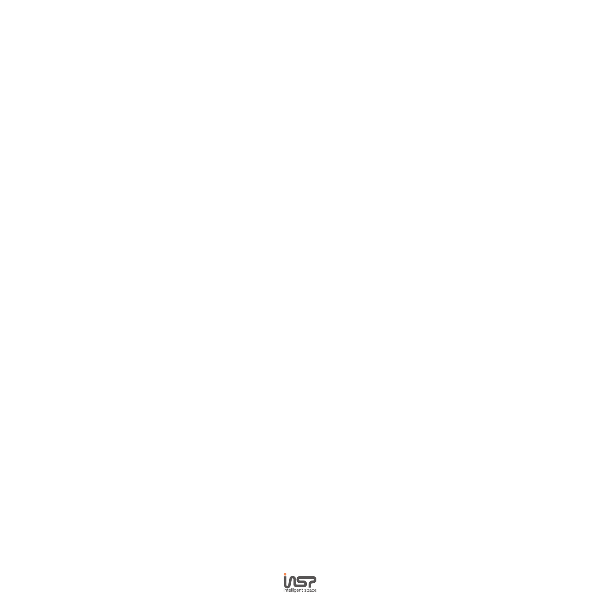